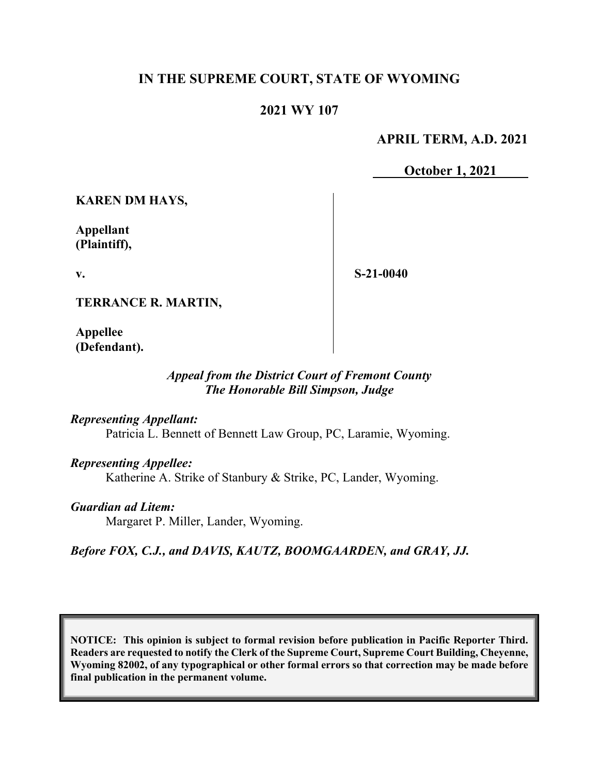# **IN THE SUPREME COURT, STATE OF WYOMING**

## **2021 WY 107**

### **APRIL TERM, A.D. 2021**

**October 1, 2021**

**KAREN DM HAYS,** 

**Appellant (Plaintiff),**

**v.**

**S-21-0040**

**TERRANCE R. MARTIN,**

**Appellee (Defendant).**

### *Appeal from the District Court of Fremont County The Honorable Bill Simpson, Judge*

*Representing Appellant:*

Patricia L. Bennett of Bennett Law Group, PC, Laramie, Wyoming.

*Representing Appellee:* Katherine A. Strike of Stanbury & Strike, PC, Lander, Wyoming.

*Guardian ad Litem:* Margaret P. Miller, Lander, Wyoming.

*Before FOX, C.J., and DAVIS, KAUTZ, BOOMGAARDEN, and GRAY, JJ.*

**NOTICE: This opinion is subject to formal revision before publication in Pacific Reporter Third. Readers are requested to notify the Clerk of the Supreme Court, Supreme Court Building, Cheyenne, Wyoming 82002, of any typographical or other formal errors so that correction may be made before final publication in the permanent volume.**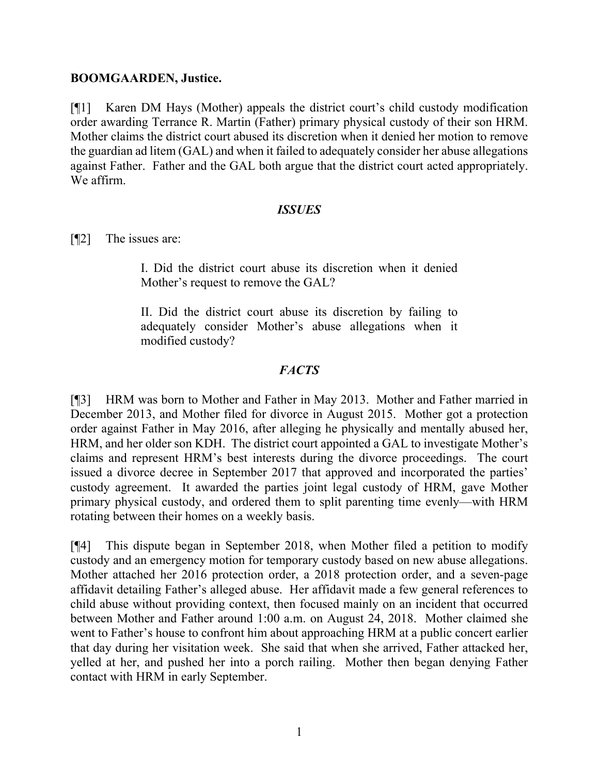#### **BOOMGAARDEN, Justice.**

[¶1] Karen DM Hays (Mother) appeals the district court's child custody modification order awarding Terrance R. Martin (Father) primary physical custody of their son HRM. Mother claims the district court abused its discretion when it denied her motion to remove the guardian ad litem (GAL) and when it failed to adequately consider her abuse allegations against Father. Father and the GAL both argue that the district court acted appropriately. We affirm.

#### *ISSUES*

[¶2] The issues are:

I. Did the district court abuse its discretion when it denied Mother's request to remove the GAL?

II. Did the district court abuse its discretion by failing to adequately consider Mother's abuse allegations when it modified custody?

# *FACTS*

[¶3] HRM was born to Mother and Father in May 2013. Mother and Father married in December 2013, and Mother filed for divorce in August 2015. Mother got a protection order against Father in May 2016, after alleging he physically and mentally abused her, HRM, and her older son KDH. The district court appointed a GAL to investigate Mother's claims and represent HRM's best interests during the divorce proceedings. The court issued a divorce decree in September 2017 that approved and incorporated the parties' custody agreement. It awarded the parties joint legal custody of HRM, gave Mother primary physical custody, and ordered them to split parenting time evenly—with HRM rotating between their homes on a weekly basis.

[¶4] This dispute began in September 2018, when Mother filed a petition to modify custody and an emergency motion for temporary custody based on new abuse allegations. Mother attached her 2016 protection order, a 2018 protection order, and a seven-page affidavit detailing Father's alleged abuse. Her affidavit made a few general references to child abuse without providing context, then focused mainly on an incident that occurred between Mother and Father around 1:00 a.m. on August 24, 2018. Mother claimed she went to Father's house to confront him about approaching HRM at a public concert earlier that day during her visitation week. She said that when she arrived, Father attacked her, yelled at her, and pushed her into a porch railing. Mother then began denying Father contact with HRM in early September.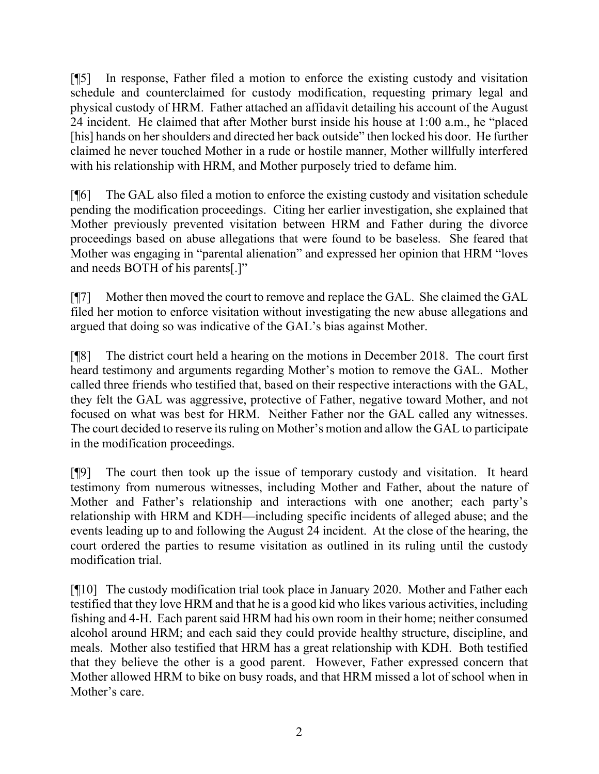[¶5] In response, Father filed a motion to enforce the existing custody and visitation schedule and counterclaimed for custody modification, requesting primary legal and physical custody of HRM. Father attached an affidavit detailing his account of the August 24 incident. He claimed that after Mother burst inside his house at 1:00 a.m., he "placed [his] hands on her shoulders and directed her back outside" then locked his door. He further claimed he never touched Mother in a rude or hostile manner, Mother willfully interfered with his relationship with HRM, and Mother purposely tried to defame him.

[¶6] The GAL also filed a motion to enforce the existing custody and visitation schedule pending the modification proceedings. Citing her earlier investigation, she explained that Mother previously prevented visitation between HRM and Father during the divorce proceedings based on abuse allegations that were found to be baseless. She feared that Mother was engaging in "parental alienation" and expressed her opinion that HRM "loves and needs BOTH of his parents[.]"

[¶7] Mother then moved the court to remove and replace the GAL. She claimed the GAL filed her motion to enforce visitation without investigating the new abuse allegations and argued that doing so was indicative of the GAL's bias against Mother.

[¶8] The district court held a hearing on the motions in December 2018. The court first heard testimony and arguments regarding Mother's motion to remove the GAL. Mother called three friends who testified that, based on their respective interactions with the GAL, they felt the GAL was aggressive, protective of Father, negative toward Mother, and not focused on what was best for HRM. Neither Father nor the GAL called any witnesses. The court decided to reserve its ruling on Mother's motion and allow the GAL to participate in the modification proceedings.

[¶9] The court then took up the issue of temporary custody and visitation. It heard testimony from numerous witnesses, including Mother and Father, about the nature of Mother and Father's relationship and interactions with one another; each party's relationship with HRM and KDH—including specific incidents of alleged abuse; and the events leading up to and following the August 24 incident. At the close of the hearing, the court ordered the parties to resume visitation as outlined in its ruling until the custody modification trial.

[¶10] The custody modification trial took place in January 2020. Mother and Father each testified that they love HRM and that he is a good kid who likes various activities, including fishing and 4-H. Each parent said HRM had his own room in their home; neither consumed alcohol around HRM; and each said they could provide healthy structure, discipline, and meals. Mother also testified that HRM has a great relationship with KDH. Both testified that they believe the other is a good parent. However, Father expressed concern that Mother allowed HRM to bike on busy roads, and that HRM missed a lot of school when in Mother's care.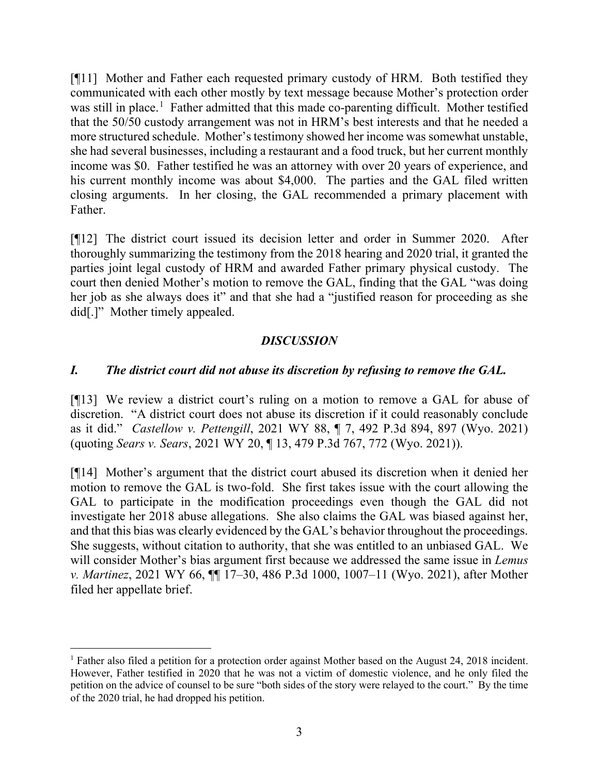[¶11] Mother and Father each requested primary custody of HRM. Both testified they communicated with each other mostly by text message because Mother's protection order was still in place.<sup>[1](#page-3-0)</sup> Father admitted that this made co-parenting difficult. Mother testified that the 50/50 custody arrangement was not in HRM's best interests and that he needed a more structured schedule. Mother's testimony showed her income was somewhat unstable, she had several businesses, including a restaurant and a food truck, but her current monthly income was \$0. Father testified he was an attorney with over 20 years of experience, and his current monthly income was about \$4,000. The parties and the GAL filed written closing arguments. In her closing, the GAL recommended a primary placement with Father.

[¶12] The district court issued its decision letter and order in Summer 2020. After thoroughly summarizing the testimony from the 2018 hearing and 2020 trial, it granted the parties joint legal custody of HRM and awarded Father primary physical custody. The court then denied Mother's motion to remove the GAL, finding that the GAL "was doing her job as she always does it" and that she had a "justified reason for proceeding as she did[.]" Mother timely appealed.

## *DISCUSSION*

## *I. The district court did not abuse its discretion by refusing to remove the GAL.*

[¶13] We review a district court's ruling on a motion to remove a GAL for abuse of discretion. "A district court does not abuse its discretion if it could reasonably conclude as it did." *Castellow v. Pettengill*, 2021 WY 88, ¶ 7, 492 P.3d 894, 897 (Wyo. 2021) (quoting *Sears v. Sears*, 2021 WY 20, ¶ 13, 479 P.3d 767, 772 (Wyo. 2021)).

[¶14] Mother's argument that the district court abused its discretion when it denied her motion to remove the GAL is two-fold. She first takes issue with the court allowing the GAL to participate in the modification proceedings even though the GAL did not investigate her 2018 abuse allegations. She also claims the GAL was biased against her, and that this bias was clearly evidenced by the GAL's behavior throughout the proceedings. She suggests, without citation to authority, that she was entitled to an unbiased GAL. We will consider Mother's bias argument first because we addressed the same issue in *Lemus v. Martinez*, 2021 WY 66, ¶¶ 17–30, 486 P.3d 1000, 1007–11 (Wyo. 2021), after Mother filed her appellate brief.

<span id="page-3-0"></span><sup>&</sup>lt;sup>1</sup> Father also filed a petition for a protection order against Mother based on the August 24, 2018 incident. However, Father testified in 2020 that he was not a victim of domestic violence, and he only filed the petition on the advice of counsel to be sure "both sides of the story were relayed to the court." By the time of the 2020 trial, he had dropped his petition.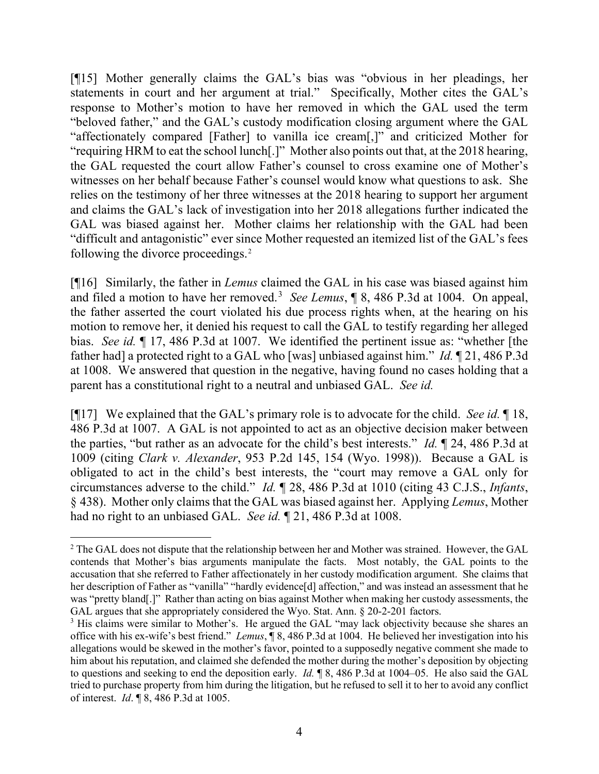[¶15] Mother generally claims the GAL's bias was "obvious in her pleadings, her statements in court and her argument at trial." Specifically, Mother cites the GAL's response to Mother's motion to have her removed in which the GAL used the term "beloved father," and the GAL's custody modification closing argument where the GAL "affectionately compared [Father] to vanilla ice cream[,]" and criticized Mother for "requiring HRM to eat the school lunch[.]" Mother also points out that, at the 2018 hearing, the GAL requested the court allow Father's counsel to cross examine one of Mother's witnesses on her behalf because Father's counsel would know what questions to ask. She relies on the testimony of her three witnesses at the 2018 hearing to support her argument and claims the GAL's lack of investigation into her 2018 allegations further indicated the GAL was biased against her. Mother claims her relationship with the GAL had been "difficult and antagonistic" ever since Mother requested an itemized list of the GAL's fees following the divorce proceedings.<sup>[2](#page-4-0)</sup>

[¶16] Similarly, the father in *Lemus* claimed the GAL in his case was biased against him and filed a motion to have her removed. [3](#page-4-1) *See Lemus*, ¶ 8, 486 P.3d at 1004. On appeal, the father asserted the court violated his due process rights when, at the hearing on his motion to remove her, it denied his request to call the GAL to testify regarding her alleged bias. *See id.* ¶ 17, 486 P.3d at 1007. We identified the pertinent issue as: "whether [the father had] a protected right to a GAL who [was] unbiased against him." *Id.* ¶ 21, 486 P.3d at 1008. We answered that question in the negative, having found no cases holding that a parent has a constitutional right to a neutral and unbiased GAL. *See id.*

[¶17] We explained that the GAL's primary role is to advocate for the child. *See id.* ¶ 18, 486 P.3d at 1007. A GAL is not appointed to act as an objective decision maker between the parties, "but rather as an advocate for the child's best interests." *Id.* ¶ 24, 486 P.3d at 1009 (citing *Clark v. Alexander*, 953 P.2d 145, 154 (Wyo. 1998)). Because a GAL is obligated to act in the child's best interests, the "court may remove a GAL only for circumstances adverse to the child." *Id.* ¶ 28, 486 P.3d at 1010 (citing 43 C.J.S., *Infants*, § 438). Mother only claims that the GAL was biased against her. Applying *Lemus*, Mother had no right to an unbiased GAL. *See id.* ¶ 21, 486 P.3d at 1008.

<span id="page-4-0"></span><sup>&</sup>lt;sup>2</sup> The GAL does not dispute that the relationship between her and Mother was strained. However, the GAL contends that Mother's bias arguments manipulate the facts. Most notably, the GAL points to the accusation that she referred to Father affectionately in her custody modification argument. She claims that her description of Father as "vanilla" "hardly evidence[d] affection," and was instead an assessment that he was "pretty bland[.]" Rather than acting on bias against Mother when making her custody assessments, the GAL argues that she appropriately considered the Wyo. Stat. Ann.  $\S$  20-2-201 factors.<br><sup>3</sup> His claims were similar to Mother's. He argued the GAL "may lack objectivity because she shares an

<span id="page-4-1"></span>office with his ex-wife's best friend." *Lemus*, ¶ 8, 486 P.3d at 1004. He believed her investigation into his allegations would be skewed in the mother's favor, pointed to a supposedly negative comment she made to him about his reputation, and claimed she defended the mother during the mother's deposition by objecting to questions and seeking to end the deposition early. *Id.* ¶ 8, 486 P.3d at 1004–05. He also said the GAL tried to purchase property from him during the litigation, but he refused to sell it to her to avoid any conflict of interest. *Id*. ¶ 8, 486 P.3d at 1005.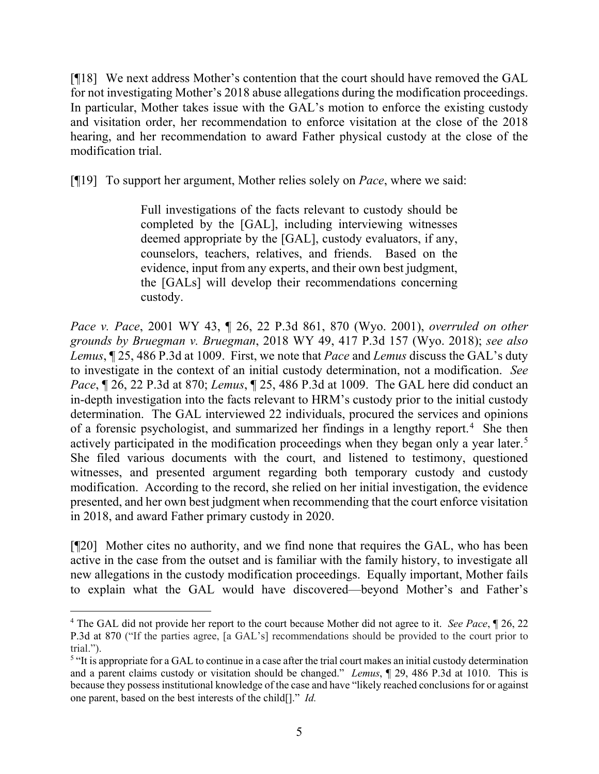[¶18] We next address Mother's contention that the court should have removed the GAL for not investigating Mother's 2018 abuse allegations during the modification proceedings. In particular, Mother takes issue with the GAL's motion to enforce the existing custody and visitation order, her recommendation to enforce visitation at the close of the 2018 hearing, and her recommendation to award Father physical custody at the close of the modification trial.

[¶19] To support her argument, Mother relies solely on *Pace*, where we said:

Full investigations of the facts relevant to custody should be completed by the [GAL], including interviewing witnesses deemed appropriate by the [GAL], custody evaluators, if any, counselors, teachers, relatives, and friends. Based on the evidence, input from any experts, and their own best judgment, the [GALs] will develop their recommendations concerning custody.

*Pace v. Pace*[, 2001 WY 43, ¶ 26, 22 P.3d 861, 870 \(Wyo. 2001\),](https://1.next.westlaw.com/Link/Document/FullText?findType=Y&serNum=2001376669&pubNum=0004645&originatingDoc=I53f7d4a0b2a911eb9804b7f7250bc080&refType=RP&fi=co_pp_sp_4645_870&originationContext=document&transitionType=DocumentItem&ppcid=3e66507e2ef34cee98a4d40e3673f771&contextData=(sc.Search)#co_pp_sp_4645_870) *overruled on other grounds by Bruegman v. Bruegman*, 2018 WY 49, 417 P.3d 157 (Wyo. 2018); *see also Lemus*, ¶ 25, 486 P.3d at 1009. First, we note that *Pace* and *Lemus* discuss the GAL's duty to investigate in the context of an initial custody determination, not a modification. *See Pace*, ¶ 26, 22 P.3d at 870; *Lemus*, ¶ 25, 486 P.3d at 1009. The GAL here did conduct an in-depth investigation into the facts relevant to HRM's custody prior to the initial custody determination. The GAL interviewed 22 individuals, procured the services and opinions of a forensic psychologist, and summarized her findings in a lengthy report.<sup>[4](#page-5-0)</sup> She then actively participated in the modification proceedings when they began only a year later.<sup>[5](#page-5-1)</sup> She filed various documents with the court, and listened to testimony, questioned witnesses, and presented argument regarding both temporary custody and custody modification. According to the record, she relied on her initial investigation, the evidence presented, and her own best judgment when recommending that the court enforce visitation in 2018, and award Father primary custody in 2020.

[¶20] Mother cites no authority, and we find none that requires the GAL, who has been active in the case from the outset and is familiar with the family history, to investigate all new allegations in the custody modification proceedings. Equally important, Mother fails to explain what the GAL would have discovered—beyond Mother's and Father's

<span id="page-5-0"></span><sup>4</sup> The GAL did not provide her report to the court because Mother did not agree to it. *See Pace*, ¶ 26, 22 P.3d at 870 ("If the parties agree, [a GAL's] recommendations should be provided to the court prior to trial.").

<span id="page-5-1"></span><sup>&</sup>lt;sup>5</sup> "It is appropriate for a GAL to continue in a case after the trial court makes an initial custody determination and a parent claims custody or visitation should be changed." *Lemus*, ¶ 29, 486 P.3d at 1010. This is because they possess institutional knowledge of the case and have "likely reached conclusions for or against one parent, based on the best interests of the child[]." *Id.*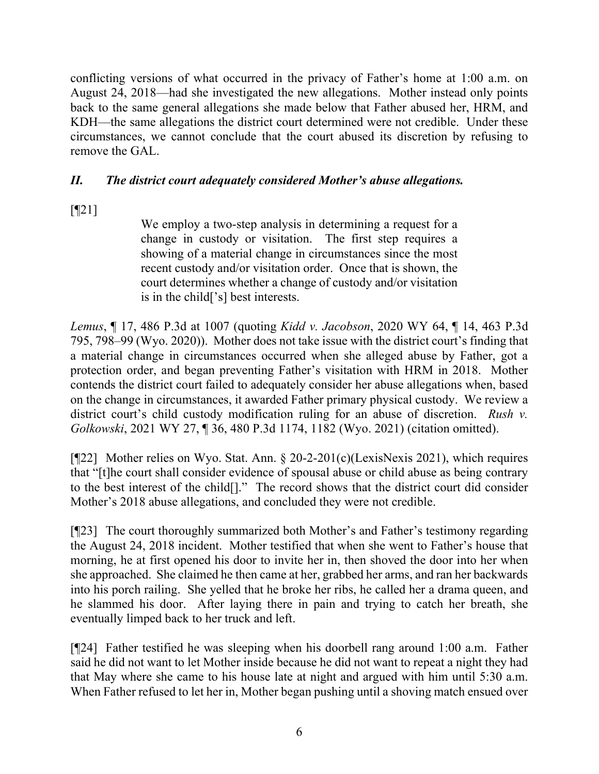conflicting versions of what occurred in the privacy of Father's home at 1:00 a.m. on August 24, 2018—had she investigated the new allegations. Mother instead only points back to the same general allegations she made below that Father abused her, HRM, and KDH—the same allegations the district court determined were not credible. Under these circumstances, we cannot conclude that the court abused its discretion by refusing to remove the GAL.

# *II. The district court adequately considered Mother's abuse allegations.*

[¶21]

We employ a two-step analysis in determining a request for a change in custody or visitation. The first step requires a showing of a material change in circumstances since the most recent custody and/or visitation order. Once that is shown, the court determines whether a change of custody and/or visitation is in the child['s] best interests.

*Lemus*, ¶ 17, 486 P.3d at 1007 (quoting *Kidd v. Jacobson*, 2020 WY 64, ¶ 14, 463 P.3d 795, 798–99 (Wyo. 2020)). Mother does not take issue with the district court's finding that a material change in circumstances occurred when she alleged abuse by Father, got a protection order, and began preventing Father's visitation with HRM in 2018. Mother contends the district court failed to adequately consider her abuse allegations when, based on the change in circumstances, it awarded Father primary physical custody. We review a district court's child custody modification ruling for an abuse of discretion. *Rush v. Golkowski*, 2021 WY 27, ¶ 36, 480 P.3d 1174, 1182 (Wyo. 2021) (citation omitted).

[¶22] Mother relies on Wyo. Stat. Ann. § 20-2-201(c)(LexisNexis 2021), which requires that "[t]he court shall consider evidence of spousal abuse or child abuse as being contrary to the best interest of the child[]." The record shows that the district court did consider Mother's 2018 abuse allegations, and concluded they were not credible.

[¶23] The court thoroughly summarized both Mother's and Father's testimony regarding the August 24, 2018 incident. Mother testified that when she went to Father's house that morning, he at first opened his door to invite her in, then shoved the door into her when she approached. She claimed he then came at her, grabbed her arms, and ran her backwards into his porch railing. She yelled that he broke her ribs, he called her a drama queen, and he slammed his door. After laying there in pain and trying to catch her breath, she eventually limped back to her truck and left.

[¶24] Father testified he was sleeping when his doorbell rang around 1:00 a.m. Father said he did not want to let Mother inside because he did not want to repeat a night they had that May where she came to his house late at night and argued with him until 5:30 a.m. When Father refused to let her in, Mother began pushing until a shoving match ensued over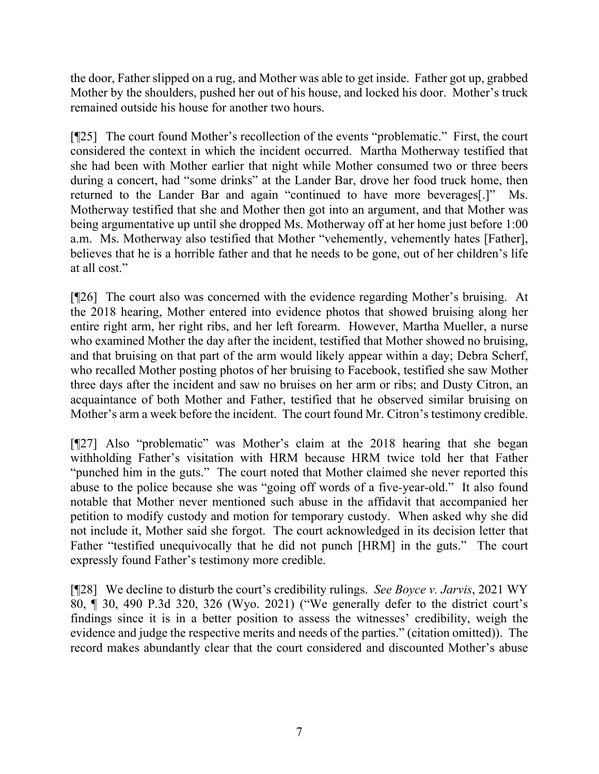the door, Father slipped on a rug, and Mother was able to get inside. Father got up, grabbed Mother by the shoulders, pushed her out of his house, and locked his door. Mother's truck remained outside his house for another two hours.

[¶25] The court found Mother's recollection of the events "problematic." First, the court considered the context in which the incident occurred. Martha Motherway testified that she had been with Mother earlier that night while Mother consumed two or three beers during a concert, had "some drinks" at the Lander Bar, drove her food truck home, then returned to the Lander Bar and again "continued to have more beverages[.]" Ms. Motherway testified that she and Mother then got into an argument, and that Mother was being argumentative up until she dropped Ms. Motherway off at her home just before 1:00 a.m. Ms. Motherway also testified that Mother "vehemently, vehemently hates [Father], believes that he is a horrible father and that he needs to be gone, out of her children's life at all cost."

[¶26] The court also was concerned with the evidence regarding Mother's bruising. At the 2018 hearing, Mother entered into evidence photos that showed bruising along her entire right arm, her right ribs, and her left forearm. However, Martha Mueller, a nurse who examined Mother the day after the incident, testified that Mother showed no bruising, and that bruising on that part of the arm would likely appear within a day; Debra Scherf, who recalled Mother posting photos of her bruising to Facebook, testified she saw Mother three days after the incident and saw no bruises on her arm or ribs; and Dusty Citron, an acquaintance of both Mother and Father, testified that he observed similar bruising on Mother's arm a week before the incident. The court found Mr. Citron's testimony credible.

[¶27] Also "problematic" was Mother's claim at the 2018 hearing that she began withholding Father's visitation with HRM because HRM twice told her that Father "punched him in the guts." The court noted that Mother claimed she never reported this abuse to the police because she was "going off words of a five-year-old." It also found notable that Mother never mentioned such abuse in the affidavit that accompanied her petition to modify custody and motion for temporary custody. When asked why she did not include it, Mother said she forgot. The court acknowledged in its decision letter that Father "testified unequivocally that he did not punch [HRM] in the guts." The court expressly found Father's testimony more credible.

[¶28] We decline to disturb the court's credibility rulings. *See Boyce v. Jarvis*, 2021 WY 80, ¶ 30, 490 P.3d 320, 326 (Wyo. 2021) ("We generally defer to the district court's findings since it is in a better position to assess the witnesses' credibility, weigh the evidence and judge the respective merits and needs of the parties." (citation omitted)). The record makes abundantly clear that the court considered and discounted Mother's abuse